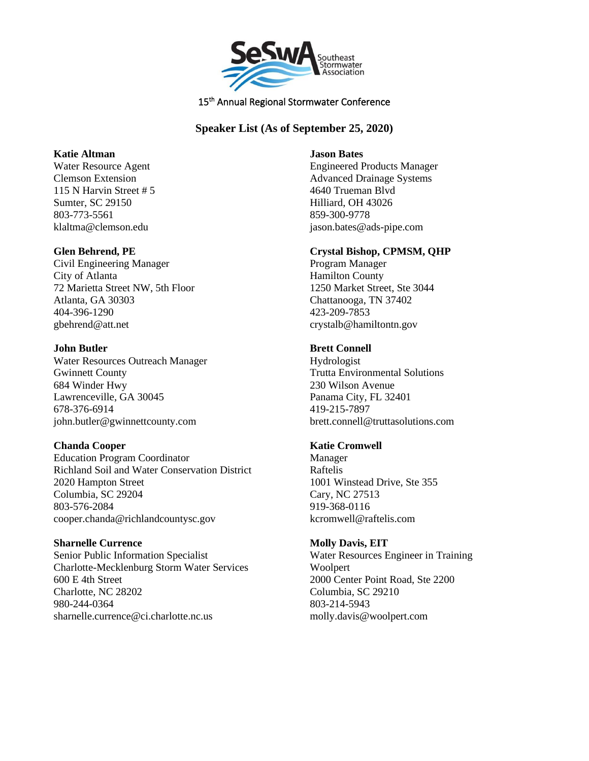

# **Speaker List (As of September 25, 2020)**

### **Katie Altman**

Water Resource Agent Clemson Extension 115 N Harvin Street # 5 Sumter, SC 29150 803-773-5561 klaltma@clemson.edu

## **Glen Behrend, PE**

Civil Engineering Manager City of Atlanta 72 Marietta Street NW, 5th Floor Atlanta, GA 30303 404-396-1290 gbehrend@att.net

## **John Butler**

Water Resources Outreach Manager Gwinnett County 684 Winder Hwy Lawrenceville, GA 30045 678-376-6914 john.butler@gwinnettcounty.com

# **Chanda Cooper**

Education Program Coordinator Richland Soil and Water Conservation District 2020 Hampton Street Columbia, SC 29204 803-576-2084 cooper.chanda@richlandcountysc.gov

### **Sharnelle Currence**

Senior Public Information Specialist Charlotte-Mecklenburg Storm Water Services 600 E 4th Street Charlotte, NC 28202 980-244-0364 sharnelle.currence@ci.charlotte.nc.us

#### **Jason Bates**

Engineered Products Manager Advanced Drainage Systems 4640 Trueman Blvd Hilliard, OH 43026 859-300-9778 jason.bates@ads-pipe.com

# **Crystal Bishop, CPMSM, QHP**

Program Manager Hamilton County 1250 Market Street, Ste 3044 Chattanooga, TN 37402 423-209-7853 crystalb@hamiltontn.gov

## **Brett Connell**

Hydrologist Trutta Environmental Solutions 230 Wilson Avenue Panama City, FL 32401 419-215-7897 brett.connell@truttasolutions.com

# **Katie Cromwell**

Manager Raftelis 1001 Winstead Drive, Ste 355 Cary, NC 27513 919-368-0116 kcromwell@raftelis.com

# **Molly Davis, EIT**

Water Resources Engineer in Training Woolpert 2000 Center Point Road, Ste 2200 Columbia, SC 29210 803-214-5943 molly.davis@woolpert.com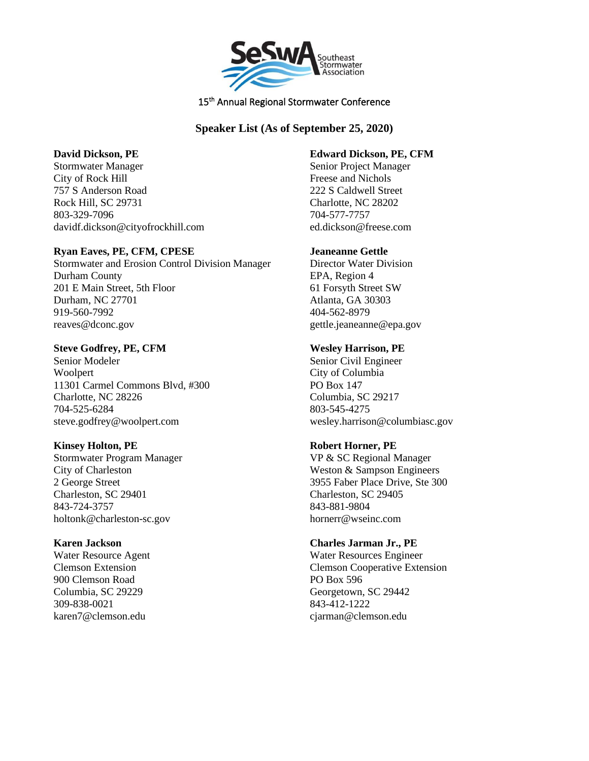

# **Speaker List (As of September 25, 2020)**

### **David Dickson, PE**

Stormwater Manager City of Rock Hill 757 S Anderson Road Rock Hill, SC 29731 803-329-7096 davidf.dickson@cityofrockhill.com

## **Ryan Eaves, PE, CFM, CPESE**

Stormwater and Erosion Control Division Manager Durham County 201 E Main Street, 5th Floor Durham, NC 27701 919-560-7992 reaves@dconc.gov

## **Steve Godfrey, PE, CFM**

Senior Modeler Woolpert 11301 Carmel Commons Blvd, #300 Charlotte, NC 28226 704-525-6284 steve.godfrey@woolpert.com

# **Kinsey Holton, PE**

Stormwater Program Manager City of Charleston 2 George Street Charleston, SC 29401 843-724-3757 holtonk@charleston-sc.gov

# **Karen Jackson**

Water Resource Agent Clemson Extension 900 Clemson Road Columbia, SC 29229 309-838-0021 karen7@clemson.edu

### **Edward Dickson, PE, CFM**

Senior Project Manager Freese and Nichols 222 S Caldwell Street Charlotte, NC 28202 704-577-7757 ed.dickson@freese.com

## **Jeaneanne Gettle**

Director Water Division EPA, Region 4 61 Forsyth Street SW Atlanta, GA 30303 404-562-8979 gettle.jeaneanne@epa.gov

## **Wesley Harrison, PE**

Senior Civil Engineer City of Columbia PO Box 147 Columbia, SC 29217 803-545-4275 wesley.harrison@columbiasc.gov

# **Robert Horner, PE**

VP & SC Regional Manager Weston & Sampson Engineers 3955 Faber Place Drive, Ste 300 Charleston, SC 29405 843-881-9804 hornerr@wseinc.com

# **Charles Jarman Jr., PE**

Water Resources Engineer Clemson Cooperative Extension PO Box 596 Georgetown, SC 29442 843-412-1222 cjarman@clemson.edu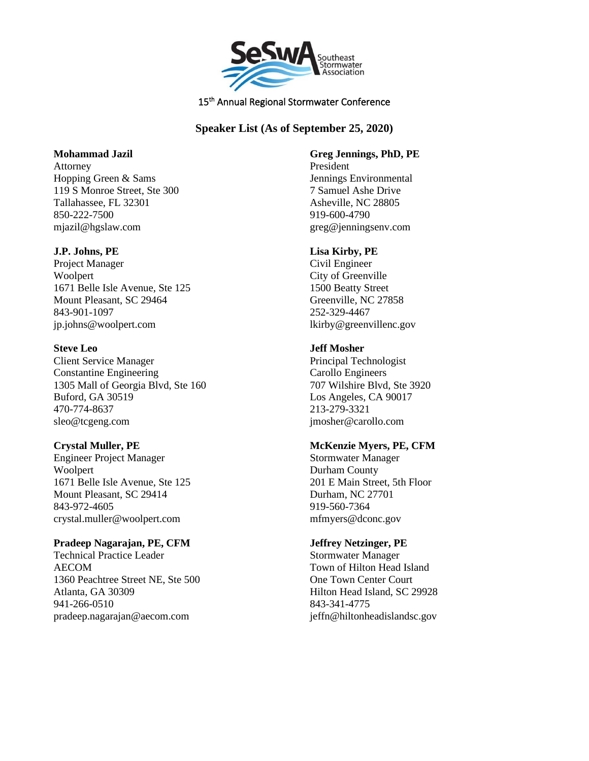

# **Speaker List (As of September 25, 2020)**

### **Mohammad Jazil**

Attorney Hopping Green & Sams 119 S Monroe Street, Ste 300 Tallahassee, FL 32301 850-222-7500 mjazil@hgslaw.com

## **J.P. Johns, PE**

Project Manager Woolpert 1671 Belle Isle Avenue, Ste 125 Mount Pleasant, SC 29464 843-901-1097 jp.johns@woolpert.com

## **Steve Leo**

Client Service Manager Constantine Engineering 1305 Mall of Georgia Blvd, Ste 160 Buford, GA 30519 470-774-8637 sleo@tcgeng.com

# **Crystal Muller, PE**

Engineer Project Manager Woolpert 1671 Belle Isle Avenue, Ste 125 Mount Pleasant, SC 29414 843-972-4605 crystal.muller@woolpert.com

### **Pradeep Nagarajan, PE, CFM**

Technical Practice Leader AECOM 1360 Peachtree Street NE, Ste 500 Atlanta, GA 30309 941-266-0510 pradeep.nagarajan@aecom.com

**Greg Jennings, PhD, PE** President Jennings Environmental 7 Samuel Ashe Drive Asheville, NC 28805 919-600-4790 greg@jenningsenv.com

## **Lisa Kirby, PE**

Civil Engineer City of Greenville 1500 Beatty Street Greenville, NC 27858 252-329-4467 lkirby@greenvillenc.gov

## **Jeff Mosher**

Principal Technologist Carollo Engineers 707 Wilshire Blvd, Ste 3920 Los Angeles, CA 90017 213-279-3321 jmosher@carollo.com

# **McKenzie Myers, PE, CFM**

Stormwater Manager Durham County 201 E Main Street, 5th Floor Durham, NC 27701 919-560-7364 mfmyers@dconc.gov

# **Jeffrey Netzinger, PE**

Stormwater Manager Town of Hilton Head Island One Town Center Court Hilton Head Island, SC 29928 843-341-4775 jeffn@hiltonheadislandsc.gov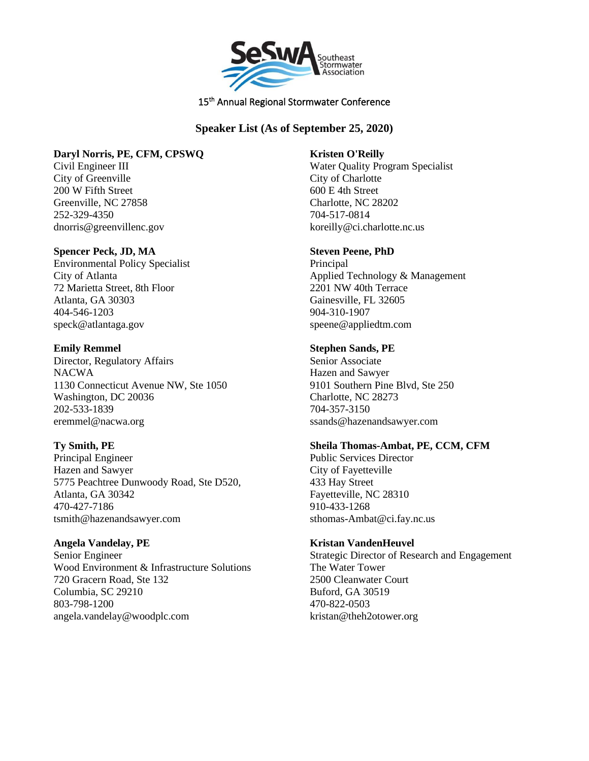

# **Speaker List (As of September 25, 2020)**

# **Daryl Norris, PE, CFM, CPSWQ**

Civil Engineer III City of Greenville 200 W Fifth Street Greenville, NC 27858 252-329-4350 dnorris@greenvillenc.gov

## **Spencer Peck, JD, MA**

Environmental Policy Specialist City of Atlanta 72 Marietta Street, 8th Floor Atlanta, GA 30303 404-546-1203 speck@atlantaga.gov

## **Emily Remmel**

Director, Regulatory Affairs NACWA 1130 Connecticut Avenue NW, Ste 1050 Washington, DC 20036 202-533-1839 eremmel@nacwa.org

# **Ty Smith, PE**

Principal Engineer Hazen and Sawyer 5775 Peachtree Dunwoody Road, Ste D520, Atlanta, GA 30342 470-427-7186 tsmith@hazenandsawyer.com

### **Angela Vandelay, PE**

Senior Engineer Wood Environment & Infrastructure Solutions 720 Gracern Road, Ste 132 Columbia, SC 29210 803-798-1200 angela.vandelay@woodplc.com

### **Kristen O'Reilly**

Water Quality Program Specialist City of Charlotte 600 E 4th Street Charlotte, NC 28202 704-517-0814 koreilly@ci.charlotte.nc.us

## **Steven Peene, PhD**

Principal Applied Technology & Management 2201 NW 40th Terrace Gainesville, FL 32605 904-310-1907 speene@appliedtm.com

# **Stephen Sands, PE**

Senior Associate Hazen and Sawyer 9101 Southern Pine Blvd, Ste 250 Charlotte, NC 28273 704-357-3150 ssands@hazenandsawyer.com

### **Sheila Thomas-Ambat, PE, CCM, CFM**

Public Services Director City of Fayetteville 433 Hay Street Fayetteville, NC 28310 910-433-1268 sthomas-Ambat@ci.fay.nc.us

# **Kristan VandenHeuvel**

Strategic Director of Research and Engagement The Water Tower 2500 Cleanwater Court Buford, GA 30519 470-822-0503 kristan@theh2otower.org